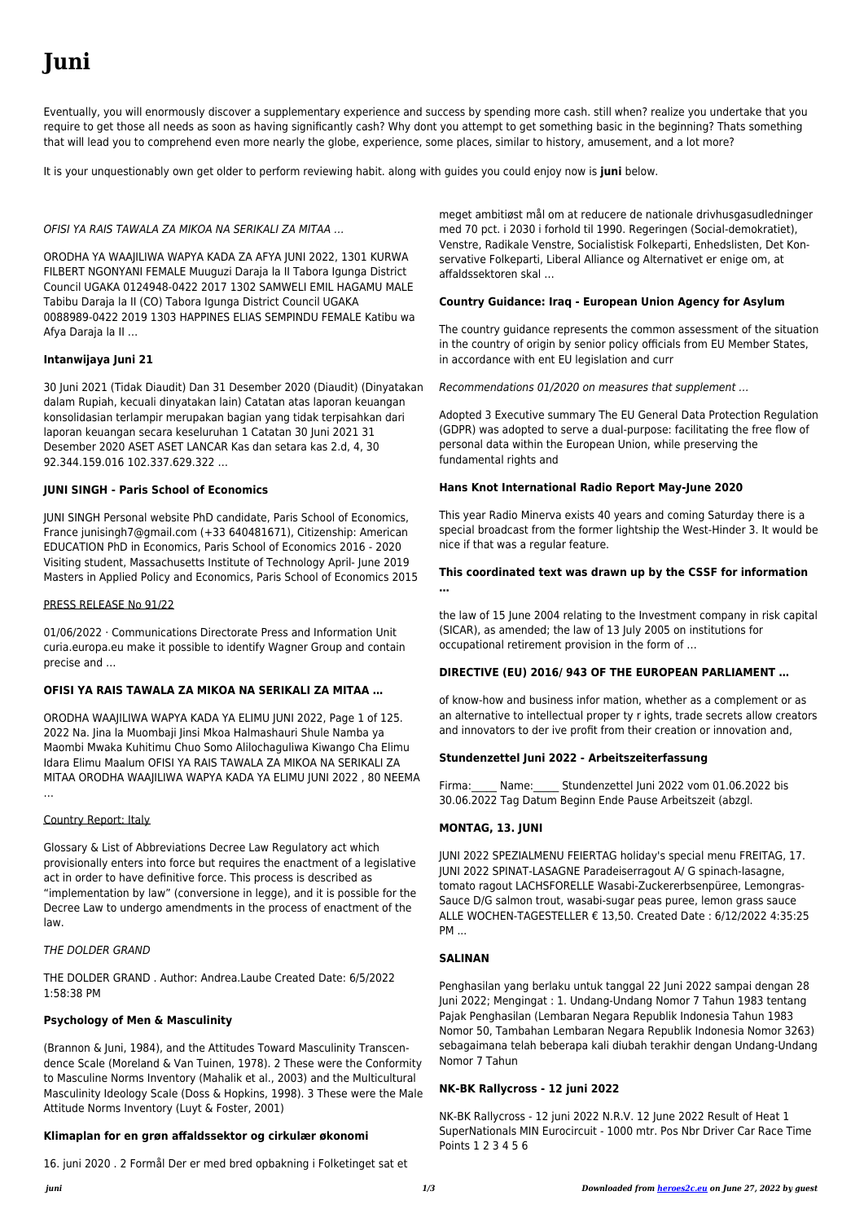# **Juni**

Eventually, you will enormously discover a supplementary experience and success by spending more cash. still when? realize you undertake that you require to get those all needs as soon as having significantly cash? Why dont you attempt to get something basic in the beginning? Thats something that will lead you to comprehend even more nearly the globe, experience, some places, similar to history, amusement, and a lot more?

It is your unquestionably own get older to perform reviewing habit. along with guides you could enjoy now is **juni** below.

# OFISI YA RAIS TAWALA ZA MIKOA NA SERIKALI ZA MITAA …

ORODHA YA WAAJILIWA WAPYA KADA ZA AFYA JUNI 2022, 1301 KURWA FILBERT NGONYANI FEMALE Muuguzi Daraja la II Tabora Igunga District Council UGAKA 0124948-0422 2017 1302 SAMWELI EMIL HAGAMU MALE Tabibu Daraja la II (CO) Tabora Igunga District Council UGAKA 0088989-0422 2019 1303 HAPPINES ELIAS SEMPINDU FEMALE Katibu wa Afya Daraja la II …

#### **Intanwijaya Juni 21**

30 Juni 2021 (Tidak Diaudit) Dan 31 Desember 2020 (Diaudit) (Dinyatakan dalam Rupiah, kecuali dinyatakan lain) Catatan atas laporan keuangan konsolidasian terlampir merupakan bagian yang tidak terpisahkan dari laporan keuangan secara keseluruhan 1 Catatan 30 Juni 2021 31 Desember 2020 ASET ASET LANCAR Kas dan setara kas 2.d, 4, 30 92.344.159.016 102.337.629.322 …

# **JUNI SINGH - Paris School of Economics**

JUNI SINGH Personal website PhD candidate, Paris School of Economics, France junisingh7@gmail.com (+33 640481671), Citizenship: American EDUCATION PhD in Economics, Paris School of Economics 2016 - 2020 Visiting student, Massachusetts Institute of Technology April- June 2019 Masters in Applied Policy and Economics, Paris School of Economics 2015

#### PRESS RELEASE No 91/22

01/06/2022 · Communications Directorate Press and Information Unit curia.europa.eu make it possible to identify Wagner Group and contain precise and …

#### **OFISI YA RAIS TAWALA ZA MIKOA NA SERIKALI ZA MITAA …**

ORODHA WAAJILIWA WAPYA KADA YA ELIMU JUNI 2022, Page 1 of 125. 2022 Na. Jina la Muombaji Jinsi Mkoa Halmashauri Shule Namba ya Maombi Mwaka Kuhitimu Chuo Somo Alilochaguliwa Kiwango Cha Elimu Idara Elimu Maalum OFISI YA RAIS TAWALA ZA MIKOA NA SERIKALI ZA MITAA ORODHA WAAJILIWA WAPYA KADA YA ELIMU JUNI 2022 , 80 NEEMA …

#### Country Report: Italy

Glossary & List of Abbreviations Decree Law Regulatory act which provisionally enters into force but requires the enactment of a legislative act in order to have definitive force. This process is described as "implementation by law" (conversione in legge), and it is possible for the Decree Law to undergo amendments in the process of enactment of the

Firma: Name: Stundenzettel Juni 2022 vom 01.06.2022 bis 30.06.2022 Tag Datum Beginn Ende Pause Arbeitszeit (abzgl.

#### THE DOLDER GRAND

THE DOLDER GRAND . Author: Andrea.Laube Created Date: 6/5/2022 1:58:38 PM

#### **Psychology of Men & Masculinity**

(Brannon & Juni, 1984), and the Attitudes Toward Masculinity Transcendence Scale (Moreland & Van Tuinen, 1978). 2 These were the Conformity to Masculine Norms Inventory (Mahalik et al., 2003) and the Multicultural Masculinity Ideology Scale (Doss & Hopkins, 1998). 3 These were the Male Attitude Norms Inventory (Luyt & Foster, 2001)

#### **Klimaplan for en grøn affaldssektor og cirkulær økonomi**

16. juni 2020 . 2 Formål Der er med bred opbakning i Folketinget sat et

meget ambitiøst mål om at reducere de nationale drivhusgasudledninger med 70 pct. i 2030 i forhold til 1990. Regeringen (Social-demokratiet), Venstre, Radikale Venstre, Socialistisk Folkeparti, Enhedslisten, Det Konservative Folkeparti, Liberal Alliance og Alternativet er enige om, at affaldssektoren skal …

#### **Country Guidance: Iraq - European Union Agency for Asylum**

The country guidance represents the common assessment of the situation in the country of origin by senior policy officials from EU Member States, in accordance with ent EU legislation and curr

Recommendations 01/2020 on measures that supplement …

Adopted 3 Executive summary The EU General Data Protection Regulation (GDPR) was adopted to serve a dual-purpose: facilitating the free flow of personal data within the European Union, while preserving the fundamental rights and

# **Hans Knot International Radio Report May-June 2020**

This year Radio Minerva exists 40 years and coming Saturday there is a special broadcast from the former lightship the West-Hinder 3. It would be nice if that was a regular feature.

# **This coordinated text was drawn up by the CSSF for information**

**…**

the law of 15 June 2004 relating to the Investment company in risk capital (SICAR), as amended; the law of 13 July 2005 on institutions for occupational retirement provision in the form of …

# **DIRECTIVE (EU) 2016/ 943 OF THE EUROPEAN PARLIAMENT …**

of know-how and business infor mation, whether as a complement or as an alternative to intellectual proper ty r ights, trade secrets allow creators and innovators to der ive profit from their creation or innovation and,

# **Stundenzettel Juni 2022 - Arbeitszeiterfassung**

#### **MONTAG, 13. JUNI**

JUNI 2022 SPEZIALMENU FEIERTAG holiday's special menu FREITAG, 17. JUNI 2022 SPINAT-LASAGNE Paradeiserragout A/ G spinach-lasagne, tomato ragout LACHSFORELLE Wasabi-Zuckererbsenpüree, Lemongras-Sauce D/G salmon trout, wasabi-sugar peas puree, lemon grass sauce ALLE WOCHEN-TAGESTELLER € 13,50. Created Date : 6/12/2022 4:35:25

# **SALINAN**

Penghasilan yang berlaku untuk tanggal 22 Juni 2022 sampai dengan 28 Juni 2022; Mengingat : 1. Undang-Undang Nomor 7 Tahun 1983 tentang Pajak Penghasilan (Lembaran Negara Republik Indonesia Tahun 1983 Nomor 50, Tambahan Lembaran Negara Republik Indonesia Nomor 3263) sebagaimana telah beberapa kali diubah terakhir dengan Undang-Undang Nomor 7 Tahun

#### **NK-BK Rallycross - 12 juni 2022**

NK-BK Rallycross - 12 juni 2022 N.R.V. 12 June 2022 Result of Heat 1 SuperNationals MIN Eurocircuit - 1000 mtr. Pos Nbr Driver Car Race Time Points 1 2 3 4 5 6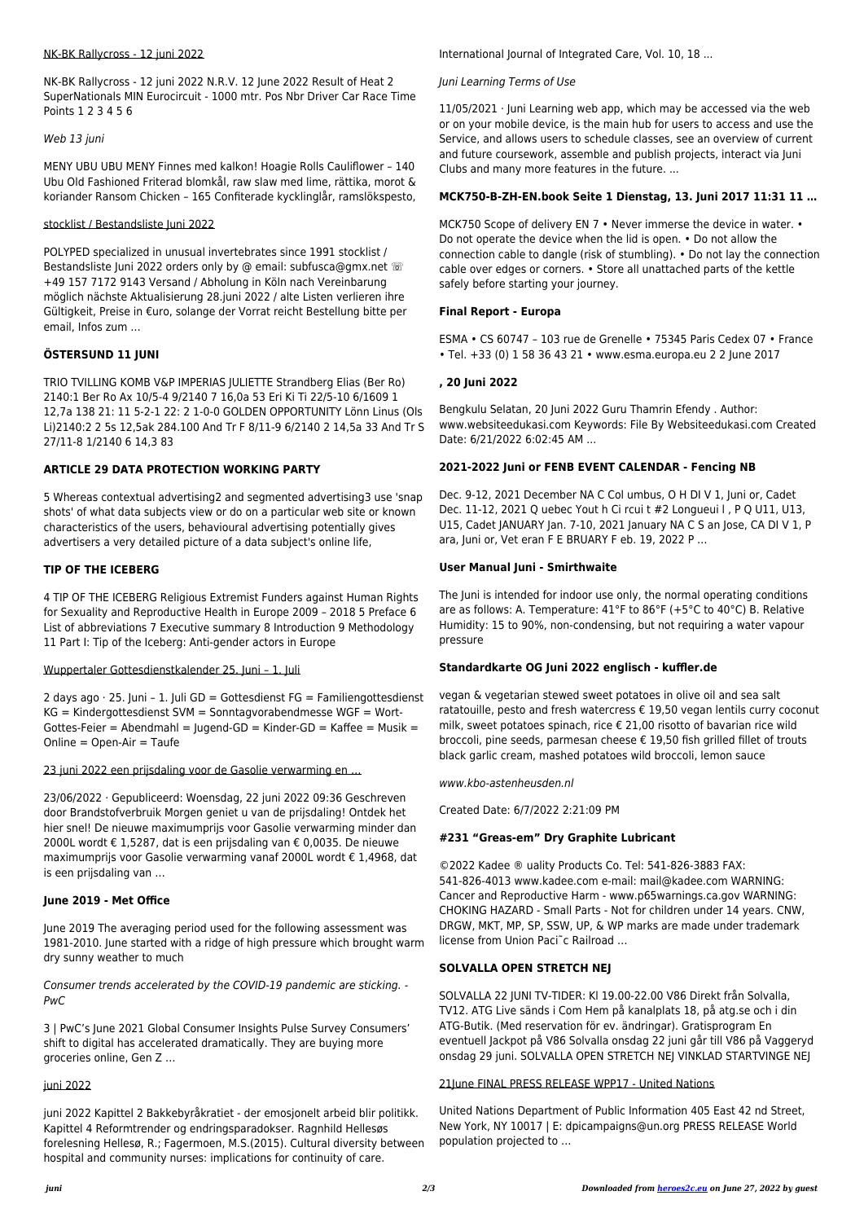#### NK-BK Rallycross - 12 juni 2022

NK-BK Rallycross - 12 juni 2022 N.R.V. 12 June 2022 Result of Heat 2 SuperNationals MIN Eurocircuit - 1000 mtr. Pos Nbr Driver Car Race Time Points 1 2 3 4 5 6

#### Web 13 juni

MENY UBU UBU MENY Finnes med kalkon! Hoagie Rolls Cauliflower – 140 Ubu Old Fashioned Friterad blomkål, raw slaw med lime, rättika, morot & koriander Ransom Chicken – 165 Confiterade kycklinglår, ramslökspesto,

#### stocklist / Bestandsliste Juni 2022

POLYPED specialized in unusual invertebrates since 1991 stocklist / Bestandsliste Juni 2022 orders only by @ email: subfusca@gmx.net <sup>@</sup> +49 157 7172 9143 Versand / Abholung in Köln nach Vereinbarung möglich nächste Aktualisierung 28.juni 2022 / alte Listen verlieren ihre Gültigkeit, Preise in €uro, solange der Vorrat reicht Bestellung bitte per email, Infos zum …

# **ÖSTERSUND 11 JUNI**

TRIO TVILLING KOMB V&P IMPERIAS JULIETTE Strandberg Elias (Ber Ro) 2140:1 Ber Ro Ax 10/5-4 9/2140 7 16,0a 53 Eri Ki Ti 22/5-10 6/1609 1 12,7a 138 21: 11 5-2-1 22: 2 1-0-0 GOLDEN OPPORTUNITY Lönn Linus (Ols Li)2140:2 2 5s 12,5ak 284.100 And Tr F 8/11-9 6/2140 2 14,5a 33 And Tr S 27/11-8 1/2140 6 14,3 83

# **ARTICLE 29 DATA PROTECTION WORKING PARTY**

5 Whereas contextual advertising2 and segmented advertising3 use 'snap shots' of what data subjects view or do on a particular web site or known characteristics of the users, behavioural advertising potentially gives advertisers a very detailed picture of a data subject's online life,

# **TIP OF THE ICEBERG**

4 TIP OF THE ICEBERG Religious Extremist Funders against Human Rights for Sexuality and Reproductive Health in Europe 2009 – 2018 5 Preface 6 List of abbreviations 7 Executive summary 8 Introduction 9 Methodology 11 Part I: Tip of the Iceberg: Anti-gender actors in Europe

# Wuppertaler Gottesdienstkalender 25. Juni – 1. Juli

2 days ago  $\cdot$  25. Juni – 1. Juli GD = Gottesdienst FG = Familiengottesdienst KG = Kindergottesdienst SVM = Sonntagvorabendmesse WGF = Wort-Gottes-Feier = Abendmahl = Jugend-GD = Kinder-GD = Kaffee = Musik =  $Online = Open-Air = Taute$ 

MCK750 Scope of delivery EN 7 • Never immerse the device in water. • Do not operate the device when the lid is open. • Do not allow the connection cable to dangle (risk of stumbling). • Do not lay the connection cable over edges or corners. • Store all unattached parts of the kettle safely before starting your journey.

Bengkulu Selatan, 20 Juni 2022 Guru Thamrin Efendy . Author: www.websiteedukasi.com Keywords: File By Websiteedukasi.com Created Date: 6/21/2022 6:02:45 AM ...

# 23 juni 2022 een prijsdaling voor de Gasolie verwarming en …

23/06/2022 · Gepubliceerd: Woensdag, 22 juni 2022 09:36 Geschreven door Brandstofverbruik Morgen geniet u van de prijsdaling! Ontdek het hier snel! De nieuwe maximumprijs voor Gasolie verwarming minder dan 2000L wordt € 1,5287, dat is een prijsdaling van € 0,0035. De nieuwe maximumprijs voor Gasolie verwarming vanaf 2000L wordt € 1,4968, dat is een prijsdaling van …

#### **June 2019 - Met Office**

June 2019 The averaging period used for the following assessment was 1981-2010. June started with a ridge of high pressure which brought warm dry sunny weather to much

Consumer trends accelerated by the COVID-19 pandemic are sticking. - PwC

3 | PwC's June 2021 Global Consumer Insights Pulse Survey Consumers' shift to digital has accelerated dramatically. They are buying more groceries online, Gen Z …

#### juni 2022

juni 2022 Kapittel 2 Bakkebyråkratiet - der emosjonelt arbeid blir politikk. Kapittel 4 Reformtrender og endringsparadokser. Ragnhild Hellesøs forelesning Hellesø, R.; Fagermoen, M.S.(2015). Cultural diversity between hospital and community nurses: implications for continuity of care.

International Journal of Integrated Care, Vol. 10, 18 ...

# Juni Learning Terms of Use

11/05/2021 · Juni Learning web app, which may be accessed via the web or on your mobile device, is the main hub for users to access and use the Service, and allows users to schedule classes, see an overview of current and future coursework, assemble and publish projects, interact via Juni Clubs and many more features in the future. ...

# **MCK750-B-ZH-EN.book Seite 1 Dienstag, 13. Juni 2017 11:31 11 …**

# **Final Report - Europa**

ESMA • CS 60747 – 103 rue de Grenelle • 75345 Paris Cedex 07 • France • Tel. +33 (0) 1 58 36 43 21 • www.esma.europa.eu 2 2 June 2017

# **, 20 Juni 2022**

# **2021-2022 Juni or FENB EVENT CALENDAR - Fencing NB**

Dec. 9-12, 2021 December NA C Col umbus, O H DI V 1, Juni or, Cadet Dec. 11-12, 2021 Q uebec Yout h Ci rcui t #2 Longueui l , P Q U11, U13, U15, Cadet JANUARY Jan. 7-10, 2021 January NA C S an Jose, CA DI V 1, P ara, Juni or, Vet eran F E BRUARY F eb. 19, 2022 P …

# **User Manual Juni - Smirthwaite**

The Juni is intended for indoor use only, the normal operating conditions are as follows: A. Temperature: 41°F to 86°F (+5°C to 40°C) B. Relative Humidity: 15 to 90%, non-condensing, but not requiring a water vapour pressure

# **Standardkarte OG Juni 2022 englisch - kuffler.de**

vegan & vegetarian stewed sweet potatoes in olive oil and sea salt ratatouille, pesto and fresh watercress € 19,50 vegan lentils curry coconut milk, sweet potatoes spinach, rice € 21,00 risotto of bavarian rice wild broccoli, pine seeds, parmesan cheese € 19,50 fish grilled fillet of trouts black garlic cream, mashed potatoes wild broccoli, lemon sauce

www.kbo-astenheusden.nl

Created Date: 6/7/2022 2:21:09 PM

# **#231 "Greas-em" Dry Graphite Lubricant**

©2022 Kadee ® uality Products Co. Tel: 541-826-3883 FAX: 541-826-4013 www.kadee.com e-mail: mail@kadee.com WARNING: Cancer and Reproductive Harm - www.p65warnings.ca.gov WARNING: CHOKING HAZARD - Small Parts - Not for children under 14 years. CNW, DRGW, MKT, MP, SP, SSW, UP, & WP marks are made under trademark license from Union Paci˜c Railroad …

#### **SOLVALLA OPEN STRETCH NEJ**

SOLVALLA 22 JUNI TV-TIDER: Kl 19.00-22.00 V86 Direkt från Solvalla, TV12. ATG Live sänds i Com Hem på kanalplats 18, på atg.se och i din ATG-Butik. (Med reservation för ev. ändringar). Gratisprogram En eventuell Jackpot på V86 Solvalla onsdag 22 juni går till V86 på Vaggeryd onsdag 29 juni. SOLVALLA OPEN STRETCH NEJ VINKLAD STARTVINGE NEJ

#### 21June FINAL PRESS RELEASE WPP17 - United Nations

United Nations Department of Public Information 405 East 42 nd Street, New York, NY 10017 | E: dpicampaigns@un.org PRESS RELEASE World population projected to …